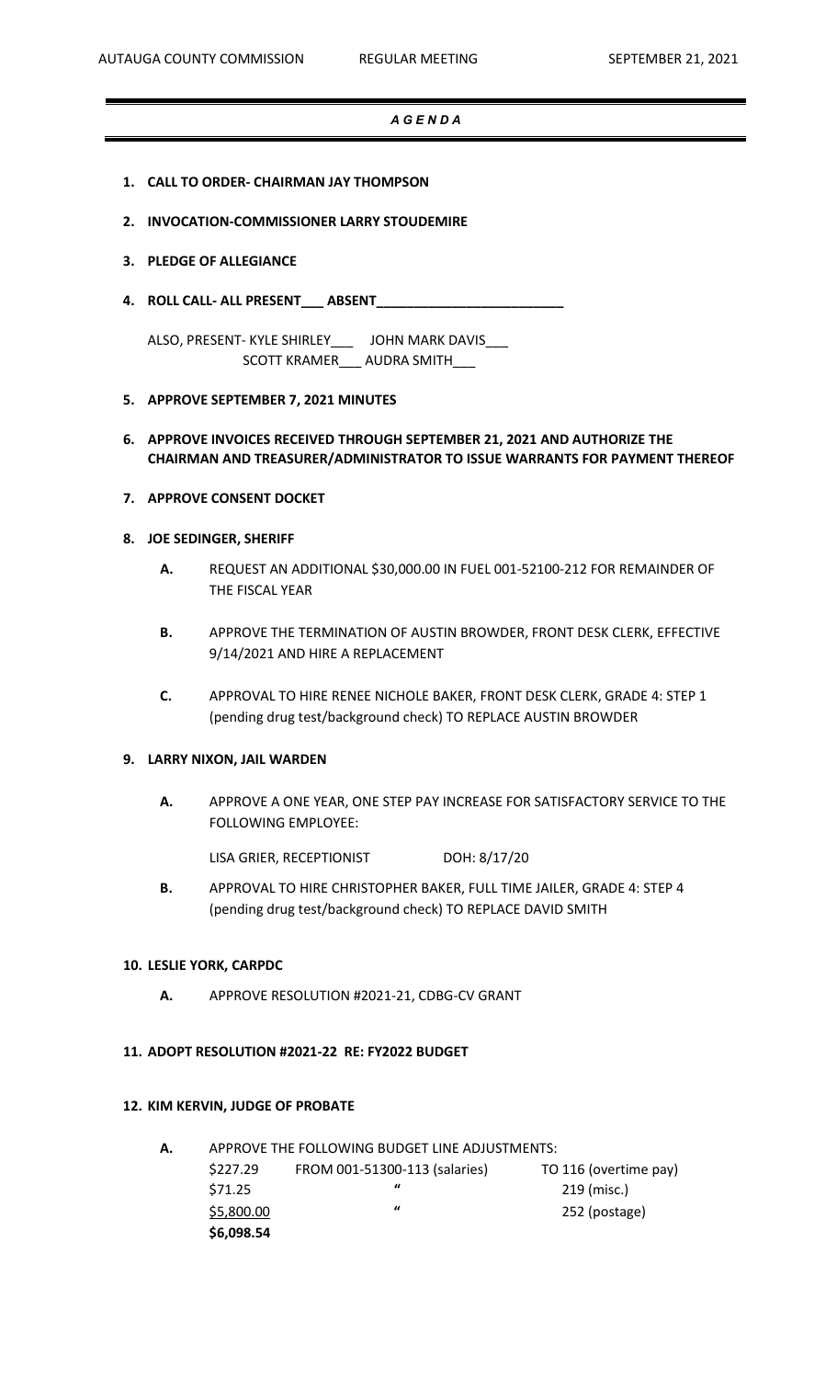## *A G E N D A*

- **1. CALL TO ORDER- CHAIRMAN JAY THOMPSON**
- **2. INVOCATION-COMMISSIONER LARRY STOUDEMIRE**

## **3. PLEDGE OF ALLEGIANCE**

**4. ROLL CALL- ALL PRESENT\_\_\_ ABSENT\_\_\_\_\_\_\_\_\_\_\_\_\_\_\_\_\_\_\_\_\_\_\_\_\_**

ALSO, PRESENT- KYLE SHIRLEY\_\_\_ JOHN MARK DAVIS\_\_\_ SCOTT KRAMER\_\_\_ AUDRA SMITH\_\_\_

## **5. APPROVE SEPTEMBER 7, 2021 MINUTES**

# **6. APPROVE INVOICES RECEIVED THROUGH SEPTEMBER 21, 2021 AND AUTHORIZE THE CHAIRMAN AND TREASURER/ADMINISTRATOR TO ISSUE WARRANTS FOR PAYMENT THEREOF**

## **7. APPROVE CONSENT DOCKET**

## **8. JOE SEDINGER, SHERIFF**

- **A.** REQUEST AN ADDITIONAL \$30,000.00 IN FUEL 001-52100-212 FOR REMAINDER OF THE FISCAL YEAR
- **B.** APPROVE THE TERMINATION OF AUSTIN BROWDER, FRONT DESK CLERK, EFFECTIVE 9/14/2021 AND HIRE A REPLACEMENT
- **C.** APPROVAL TO HIRE RENEE NICHOLE BAKER, FRONT DESK CLERK, GRADE 4: STEP 1 (pending drug test/background check) TO REPLACE AUSTIN BROWDER

## **9. LARRY NIXON, JAIL WARDEN**

**A.** APPROVE A ONE YEAR, ONE STEP PAY INCREASE FOR SATISFACTORY SERVICE TO THE FOLLOWING EMPLOYEE:

LISA GRIER, RECEPTIONIST DOH: 8/17/20

**B.** APPROVAL TO HIRE CHRISTOPHER BAKER, FULL TIME JAILER, GRADE 4: STEP 4 (pending drug test/background check) TO REPLACE DAVID SMITH

#### **10. LESLIE YORK, CARPDC**

**A.** APPROVE RESOLUTION #2021-21, CDBG-CV GRANT

## **11. ADOPT RESOLUTION #2021-22 RE: FY2022 BUDGET**

#### **12. KIM KERVIN, JUDGE OF PROBATE**

| А. | APPROVE THE FOLLOWING BUDGET LINE ADJUSTMENTS: |                               |                       |  |  |  |  |  |
|----|------------------------------------------------|-------------------------------|-----------------------|--|--|--|--|--|
|    | \$227.29                                       | FROM 001-51300-113 (salaries) | TO 116 (overtime pay) |  |  |  |  |  |
|    | \$71.25                                        | $\bf{u}$                      | 219 (misc.)           |  |  |  |  |  |
|    | \$5,800.00                                     | "                             | 252 (postage)         |  |  |  |  |  |
|    | \$6,098.54                                     |                               |                       |  |  |  |  |  |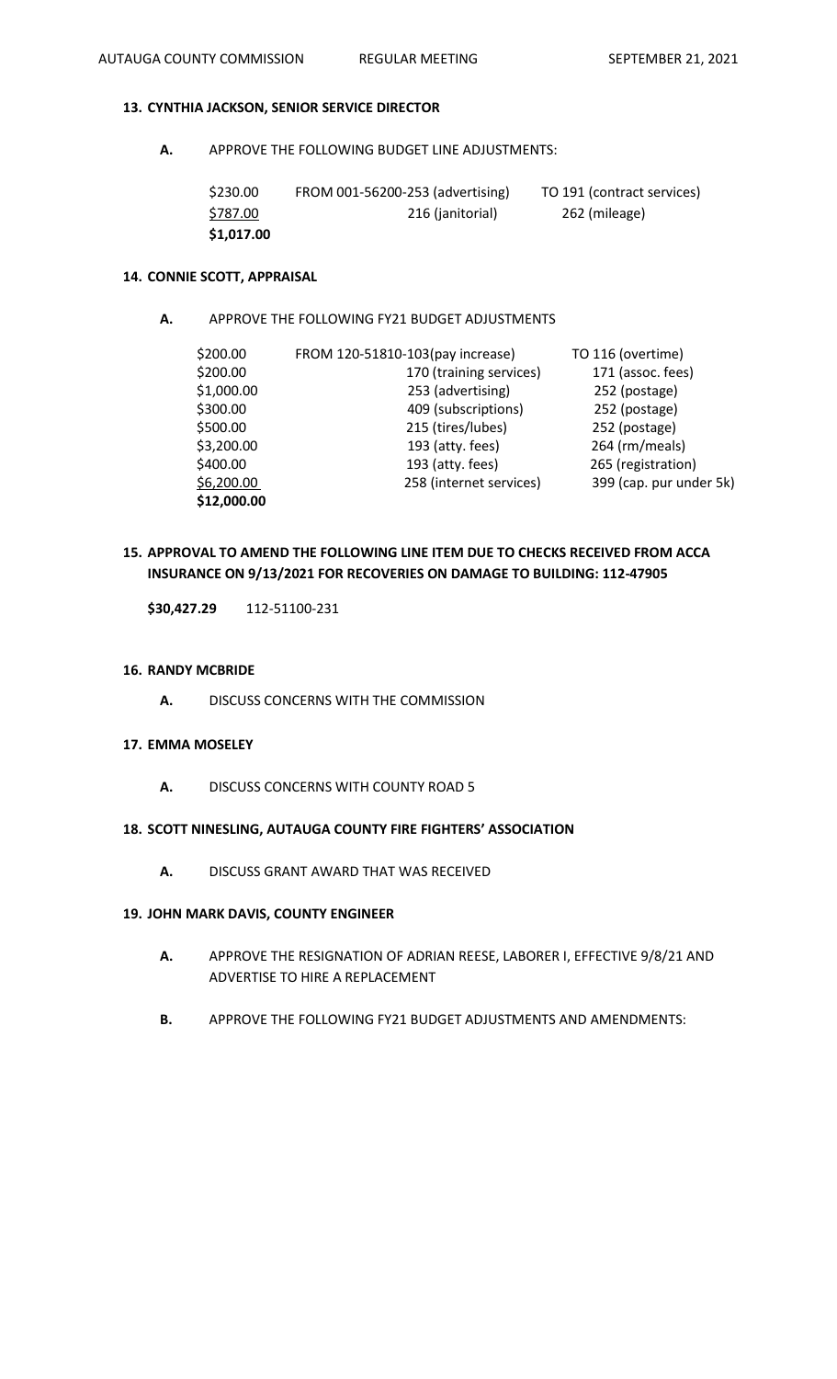## **13. CYNTHIA JACKSON, SENIOR SERVICE DIRECTOR**

**A.** APPROVE THE FOLLOWING BUDGET LINE ADJUSTMENTS:

| \$230.00   | FROM 001-56200-253 (advertising) | TO 191 (contract services) |
|------------|----------------------------------|----------------------------|
| \$787.00   | 216 (janitorial)                 | 262 (mileage)              |
| \$1,017.00 |                                  |                            |

## **14. CONNIE SCOTT, APPRAISAL**

## **A.** APPROVE THE FOLLOWING FY21 BUDGET ADJUSTMENTS

| \$200.00    | FROM 120-51810-103(pay increase) | TO 116 (overtime)       |
|-------------|----------------------------------|-------------------------|
| \$200.00    | 170 (training services)          | 171 (assoc. fees)       |
| \$1,000.00  | 253 (advertising)                | 252 (postage)           |
| \$300.00    | 409 (subscriptions)              | 252 (postage)           |
| \$500.00    | 215 (tires/lubes)                | 252 (postage)           |
| \$3,200.00  | 193 (atty. fees)                 | 264 (rm/meals)          |
| \$400.00    | 193 (atty. fees)                 | 265 (registration)      |
| \$6,200.00  | 258 (internet services)          | 399 (cap. pur under 5k) |
| \$12,000.00 |                                  |                         |

# **15. APPROVAL TO AMEND THE FOLLOWING LINE ITEM DUE TO CHECKS RECEIVED FROM ACCA INSURANCE ON 9/13/2021 FOR RECOVERIES ON DAMAGE TO BUILDING: 112-47905**

**\$30,427.29** 112-51100-231

#### **16. RANDY MCBRIDE**

**A.** DISCUSS CONCERNS WITH THE COMMISSION

## **17. EMMA MOSELEY**

**A.** DISCUSS CONCERNS WITH COUNTY ROAD 5

## **18. SCOTT NINESLING, AUTAUGA COUNTY FIRE FIGHTERS' ASSOCIATION**

**A.** DISCUSS GRANT AWARD THAT WAS RECEIVED

#### **19. JOHN MARK DAVIS, COUNTY ENGINEER**

- **A.** APPROVE THE RESIGNATION OF ADRIAN REESE, LABORER I, EFFECTIVE 9/8/21 AND ADVERTISE TO HIRE A REPLACEMENT
- **B.** APPROVE THE FOLLOWING FY21 BUDGET ADJUSTMENTS AND AMENDMENTS: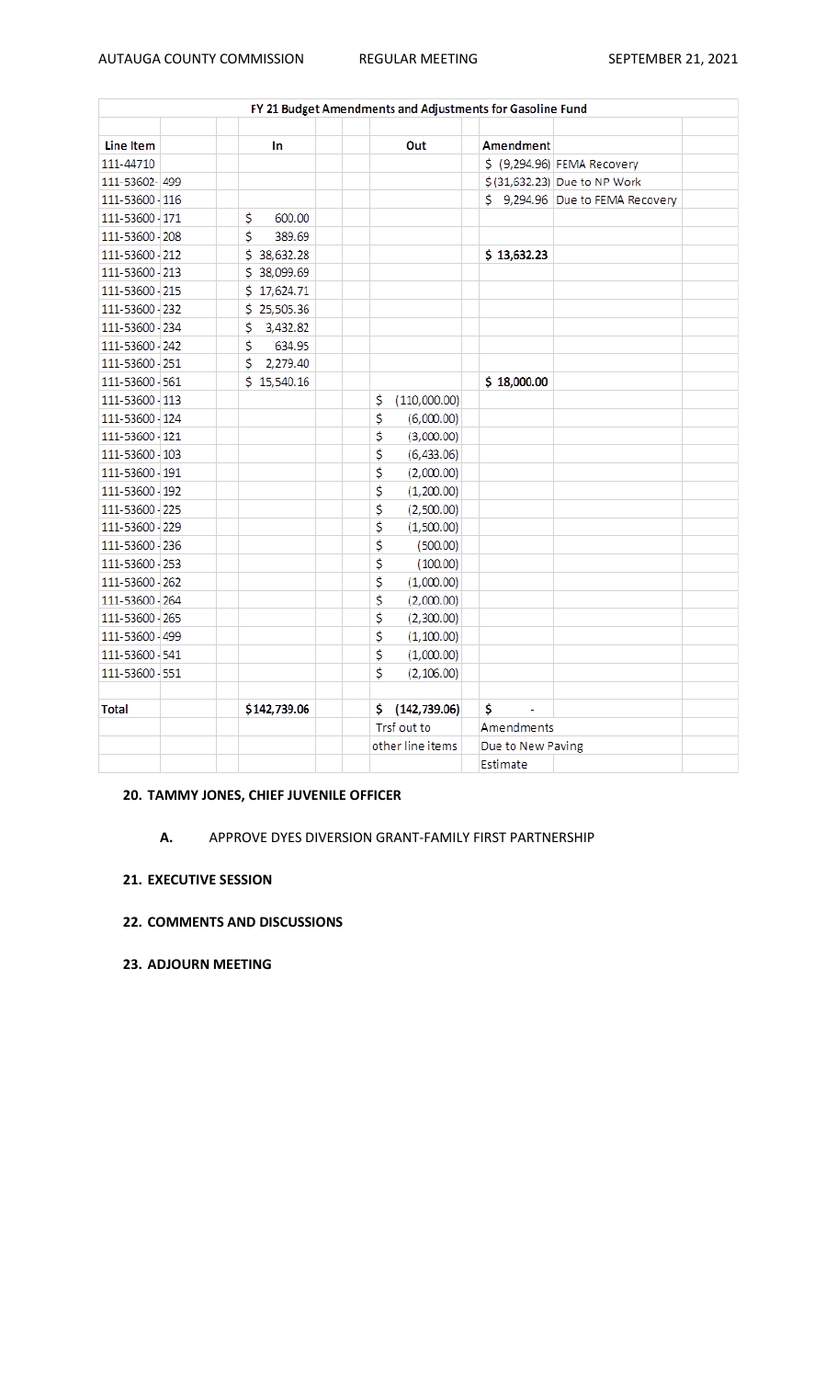| FY 21 Budget Amendments and Adjustments for Gasoline Fund |  |                |                    |                   |                                 |  |  |
|-----------------------------------------------------------|--|----------------|--------------------|-------------------|---------------------------------|--|--|
|                                                           |  |                |                    |                   |                                 |  |  |
| Line Item                                                 |  | In             | Out                | Amendment         |                                 |  |  |
| 111-44710                                                 |  |                |                    |                   | \$ (9,294.96) FEMA Recovery     |  |  |
| 111-53602-499                                             |  |                |                    |                   | \$(31,632.23) Due to NP Work    |  |  |
| 111-53600 - 116                                           |  |                |                    |                   | \$9,294.96 Due to FEMA Recovery |  |  |
| 111-53600 - 171                                           |  | \$<br>600.00   |                    |                   |                                 |  |  |
| 111-53600 - 208                                           |  | \$<br>389.69   |                    |                   |                                 |  |  |
| 111-53600 212                                             |  | \$38,632.28    |                    | \$13,632.23       |                                 |  |  |
| 111-53600 - 213                                           |  | \$38,099.69    |                    |                   |                                 |  |  |
| 111-53600 - 215                                           |  | \$17,624.71    |                    |                   |                                 |  |  |
| 111-53600 - 232                                           |  | \$25,505.36    |                    |                   |                                 |  |  |
| 111-53600 - 234                                           |  | 3,432.82<br>\$ |                    |                   |                                 |  |  |
| 111-53600 242                                             |  | \$<br>634.95   |                    |                   |                                 |  |  |
| 111-53600 - 251                                           |  | \$<br>2,279.40 |                    |                   |                                 |  |  |
| 111-53600 561                                             |  | \$15,540.16    |                    | \$18,000.00       |                                 |  |  |
| 111-53600 - 113                                           |  |                | (110,000.00)<br>\$ |                   |                                 |  |  |
| 111-53600 - 124                                           |  |                | \$<br>(6,000.00)   |                   |                                 |  |  |
| 111-53600 - 121                                           |  |                | \$<br>(3,000.00)   |                   |                                 |  |  |
| 111-53600 - 103                                           |  |                | \$<br>(6,433.06)   |                   |                                 |  |  |
| 111-53600 - 191                                           |  |                | \$<br>(2,000.00)   |                   |                                 |  |  |
| 111-53600 - 192                                           |  |                | \$<br>(1,200.00)   |                   |                                 |  |  |
| 111-53600 - 225                                           |  |                | \$<br>(2,500.00)   |                   |                                 |  |  |
| 111-53600 - 229                                           |  |                | \$<br>(1,500.00)   |                   |                                 |  |  |
| 111-53600 - 236                                           |  |                | \$<br>(500.00)     |                   |                                 |  |  |
| 111-53600 - 253                                           |  |                | \$<br>(100.00)     |                   |                                 |  |  |
| 111-53600 - 262                                           |  |                | \$<br>(1,000.00)   |                   |                                 |  |  |
| 111-53600 - 264                                           |  |                | \$<br>(2,000.00)   |                   |                                 |  |  |
| 111-53600 - 265                                           |  |                | \$<br>(2,300.00)   |                   |                                 |  |  |
| 111-53600 - 499                                           |  |                | \$<br>(1,100.00)   |                   |                                 |  |  |
| 111-53600 - 541                                           |  |                | \$<br>(1,000.00)   |                   |                                 |  |  |
| 111-53600 - 551                                           |  |                | \$<br>(2, 106.00)  |                   |                                 |  |  |
|                                                           |  |                |                    |                   |                                 |  |  |
| Total                                                     |  | \$142,739.06   | \$(142, 739.06)    | \$<br>÷,          |                                 |  |  |
|                                                           |  |                | Trsf out to        | Amendments        |                                 |  |  |
|                                                           |  |                | other line items   | Due to New Paving |                                 |  |  |
|                                                           |  |                |                    | Estimate          |                                 |  |  |

# **20. TAMMY JONES, CHIEF JUVENILE OFFICER**

# **A.** APPROVE DYES DIVERSION GRANT-FAMILY FIRST PARTNERSHIP

# **21. EXECUTIVE SESSION**

# **22. COMMENTS AND DISCUSSIONS**

**23. ADJOURN MEETING**